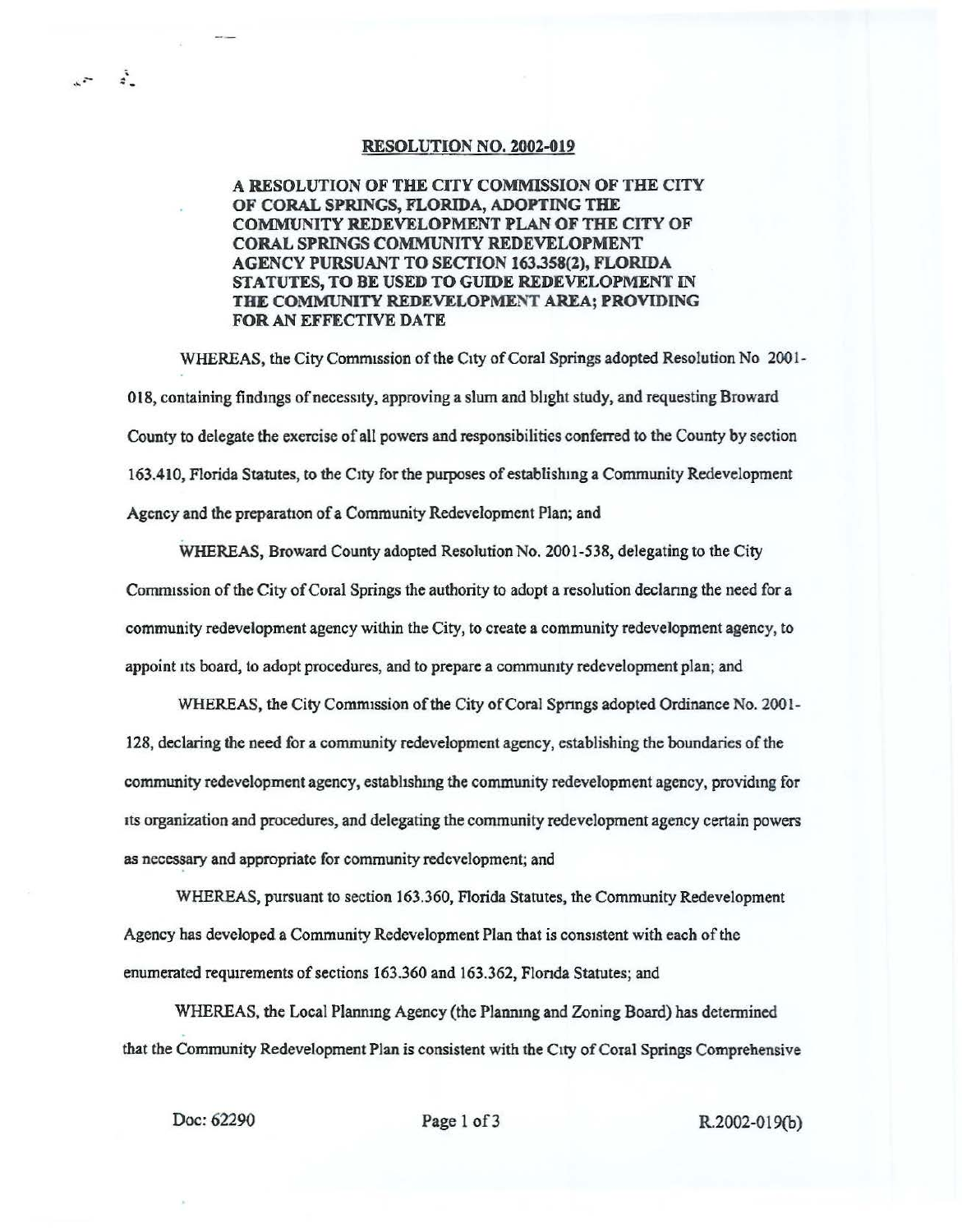## RESOLUTION NO. 2002-019

## A RESOLUTION OF THE CITY COMMISSION OF THE CITY OF CORAL SPRINGS, FLORIDA, ADOPTING THE COMMUNITY REDEVELOPMENT PLAN OF THE CITY OF CORAL SPRINGS COMMUNITY REDEVELOPMENT AGENCY PURSUANT TO SECTION 163.358(2), FLORIDA STATUTES, TO BE USED TO GUIDE REDEVELOPMENT IN THE COMMUNITY REDEVELOPMENT AREA; PROVIDING FOR AN EFFECTIVE DATE

WHEREAS, the City Commission of the City of Coral Springs adopted Resolution No 2001-018, containing findmgs ofnecessity, approving a slum and bhght study, and requesting Broward County to delegate the exercise of all powers and responsibilities conferred to the County by section 163.410, Florida Statutes, to the City for the purposes of establishing a Community Redevelopment Agency and the preparation of a Community Redevelopment Plan; and

WHEREAS, Broward County adopted Resolution No. 2001-538, delegating to the City Commission of the City of Coral Springs the authority to adopt a resolution declaring the need for a community redevelopment agency within the City, to create a community redevelopment agency, to appoint its board, to adopt procedures, and to prepare a community redevelopment plan; and

WHEREAS, the City Commission of the City of Coral Springs adopted Ordinance No. 2001-128, declaring the need for a community redevelopment agency, establishing the boundaries of the community redevelopment agency, estabhshmg the community redevelopment agency, providmg for its organization and procedures, and delegating the community redevelopment agency certain powers as necessary and appropriate for community redevelopment; and

WHEREAS, pursuant to section 163.360, Florida Statutes, the Community Redevelopment Agency has developed a Community Redevelopment Plan that is consistent with each of the enumerated requirements of sections 163.360 and 163.362, Florida Statutes; and

WHEREAS, the Local Planning Agency (the Planning and Zoning Board) has determined that the Community Redevelopment Plan is consistent with the City of Coral Springs Comprehensive

 $\ddot{\cdot}$ 

Doc: 62290 **Page 1 of 3** R.2002-019(b)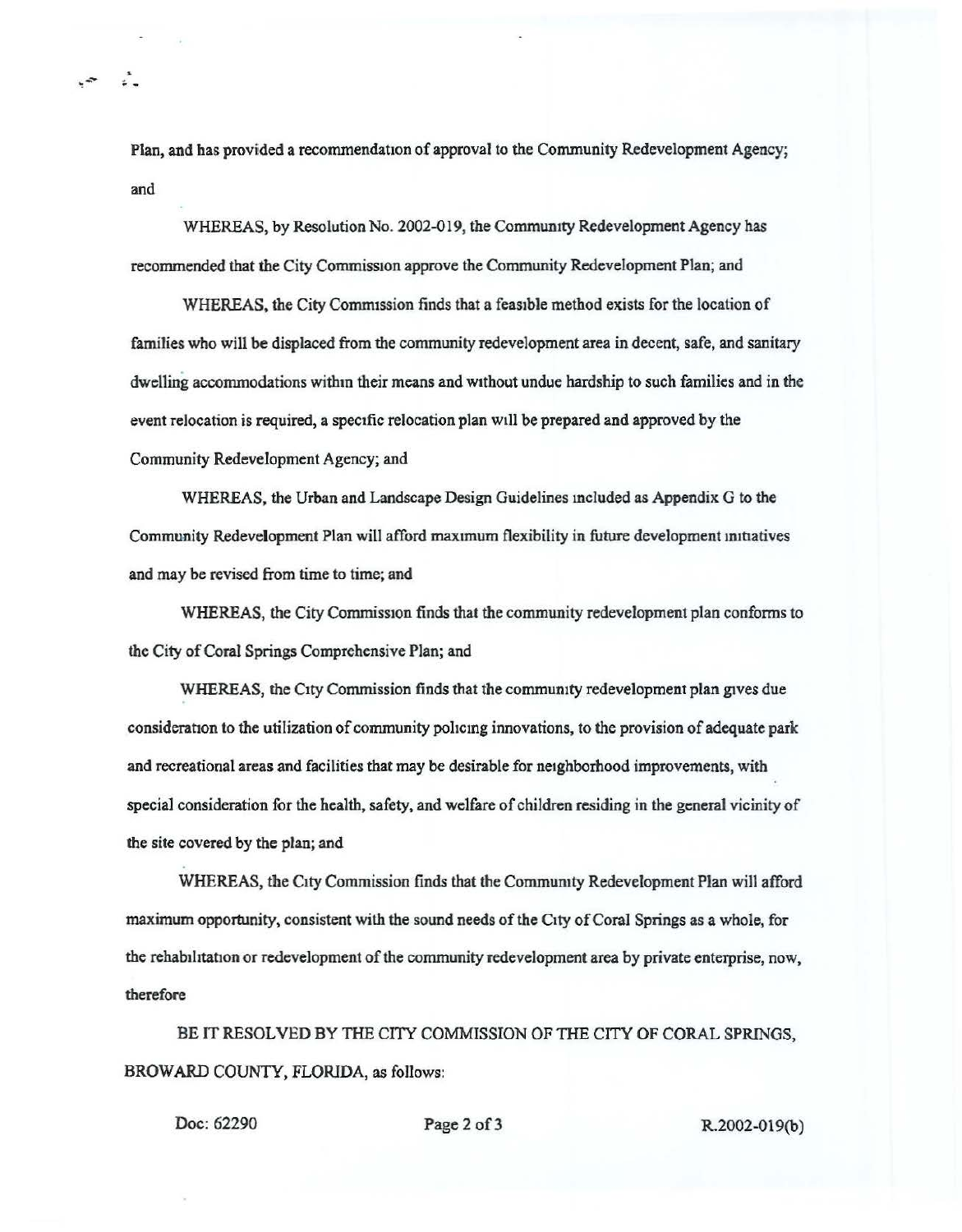Plan, and has provided a recommendation of approval to the Community Redevelopment Agency; and

WHEREAS, by Resolution No. 2002-019, the Community Redevelopment Agency has recommended that the City Commission approve the Community Redevelopment Plan; and

WHEREAS, the City Commission finds that a feasible method exists for the location of families who will be displaced from the community redevelopment area in decent, safe, and sanitary dwelling accommodations withm their means and without undue hardship to such families and in the event relocation is required, a specific relocation plan will be prepared and approved by the Community Redevelopment Agency; and

WHEREAS, the Urban and Landscape Design Guidelines mcluded as Appendix G to the Community Redevelopment Plan will afford maximum flexibility in future development initiatives and may be revised from time to time; and

WHEREAS, the City Commission finds that the community redevelopment plan conforms to the City of Coral Springs Comprehensive Plan; and

WHEREAS, the City Commission finds that the community redevelopment plan gives due consideration to the utilization of community policing innovations, to the provision of adequate park and recreational areas and facilities that may be desirable for neighborhood improvements, with special consideration for the health, safety, and welfare of children residing in the general vicinity of the site covered by the plan; and

WHEREAS, the City Commission finds that the Commumty Redevelopment Plan will afford maximum opportunity, consistent with the sound needs of the City of Coral Springs as a whole, for the rehabilitation or redevelopment of the community redevelopment area by private enterprise, now, therefore

BE IT RESOLVED BY THE CITY COMMISSION OF THE CITY OF CORAL SPRINGS, BROWARD COUNTY, FLORIDA, as follows:

Doc: 62290 **Page 2 of 3** R.2002-019(b)